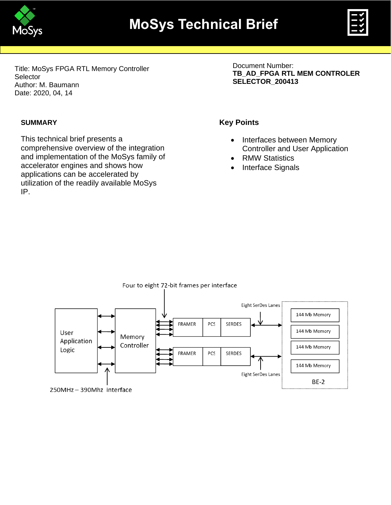



Title: MoSys FPGA RTL Memory Controller **Selector** Author: M. Baumann Date: 2020, 04, 14

#### **SUMMARY**

This technical brief presents a comprehensive overview of the integration and implementation of the MoSys family of accelerator engines and shows how applications can be accelerated by utilization of the readily available MoSys IP.

Document Number: **TB\_AD\_FPGA RTL MEM CONTROLER SELECTOR\_200413**

#### **Key Points**

- Interfaces between Memory Controller and User Application
- RMW Statistics
- Interface Signals

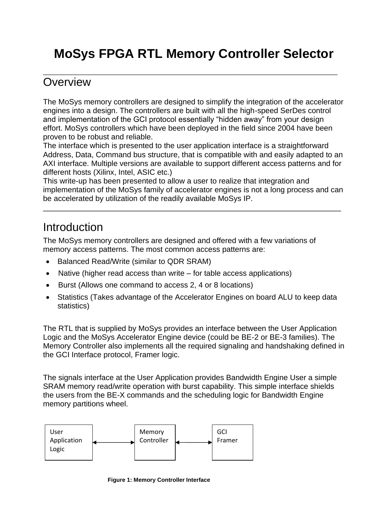# **MoSys FPGA RTL Memory Controller Selector**

\_\_\_\_\_\_\_\_\_\_\_\_\_\_\_\_\_\_\_\_\_\_\_\_\_\_\_\_\_\_\_\_\_\_\_\_\_\_\_\_\_\_\_\_\_\_\_\_\_\_\_\_\_\_\_\_\_\_\_\_\_\_\_\_\_\_\_\_\_\_\_\_\_\_\_\_\_\_\_\_\_\_\_

# **Overview**

The MoSys memory controllers are designed to simplify the integration of the accelerator engines into a design. The controllers are built with all the high-speed SerDes control and implementation of the GCI protocol essentially "hidden away" from your design effort. MoSys controllers which have been deployed in the field since 2004 have been proven to be robust and reliable.

The interface which is presented to the user application interface is a straightforward Address, Data, Command bus structure, that is compatible with and easily adapted to an AXI interface. Multiple versions are available to support different access patterns and for different hosts (Xilinx, Intel, ASIC etc.)

This write-up has been presented to allow a user to realize that integration and implementation of the MoSys family of accelerator engines is not a long process and can be accelerated by utilization of the readily available MoSys IP.

\_\_\_\_\_\_\_\_\_\_\_\_\_\_\_\_\_\_\_\_\_\_\_\_\_\_\_\_\_\_\_\_\_\_\_\_\_\_\_\_\_\_\_\_\_\_\_\_\_\_\_\_\_\_\_\_\_\_\_\_\_\_\_\_\_\_\_\_\_\_

# **Introduction**

The MoSys memory controllers are designed and offered with a few variations of memory access patterns. The most common access patterns are:

- Balanced Read/Write (similar to QDR SRAM)
- Native (higher read access than write for table access applications)
- Burst (Allows one command to access 2, 4 or 8 locations)
- Statistics (Takes advantage of the Accelerator Engines on board ALU to keep data statistics)

The RTL that is supplied by MoSys provides an interface between the User Application Logic and the MoSys Accelerator Engine device (could be BE-2 or BE-3 families). The Memory Controller also implements all the required signaling and handshaking defined in the GCI Interface protocol, Framer logic.

The signals interface at the User Application provides Bandwidth Engine User a simple SRAM memory read/write operation with burst capability. This simple interface shields the users from the BE-X commands and the scheduling logic for Bandwidth Engine memory partitions wheel.



**Figure 1: Memory Controller Interface**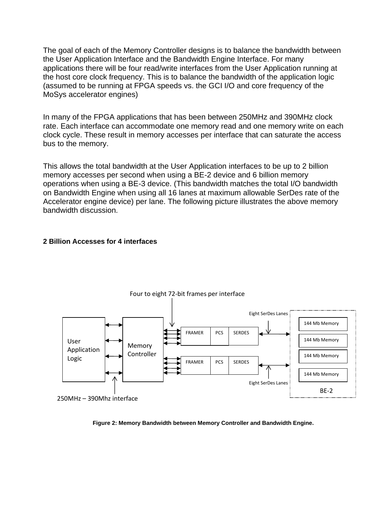The goal of each of the Memory Controller designs is to balance the bandwidth between the User Application Interface and the Bandwidth Engine Interface. For many applications there will be four read/write interfaces from the User Application running at the host core clock frequency. This is to balance the bandwidth of the application logic (assumed to be running at FPGA speeds vs. the GCI I/O and core frequency of the MoSys accelerator engines)

In many of the FPGA applications that has been between 250MHz and 390MHz clock rate. Each interface can accommodate one memory read and one memory write on each clock cycle. These result in memory accesses per interface that can saturate the access bus to the memory.

This allows the total bandwidth at the User Application interfaces to be up to 2 billion memory accesses per second when using a BE-2 device and 6 billion memory operations when using a BE-3 device. (This bandwidth matches the total I/O bandwidth on Bandwidth Engine when using all 16 lanes at maximum allowable SerDes rate of the Accelerator engine device) per lane. The following picture illustrates the above memory bandwidth discussion.

#### **2 Billion Accesses for 4 interfaces**



**Figure 2: Memory Bandwidth between Memory Controller and Bandwidth Engine.**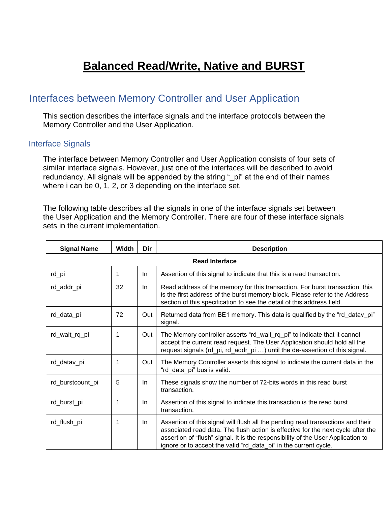# **Balanced Read/Write, Native and BURST**

## Interfaces between Memory Controller and User Application

This section describes the interface signals and the interface protocols between the Memory Controller and the User Application.

#### Interface Signals

The interface between Memory Controller and User Application consists of four sets of similar interface signals. However, just one of the interfaces will be described to avoid redundancy. All signals will be appended by the string "\_pi" at the end of their names where i can be 0, 1, 2, or 3 depending on the interface set.

The following table describes all the signals in one of the interface signals set between the User Application and the Memory Controller. There are four of these interface signals sets in the current implementation.

| <b>Signal Name</b>    | <b>Width</b> | Dir | <b>Description</b>                                                                                                                                                                                                                                                                                                          |  |  |  |
|-----------------------|--------------|-----|-----------------------------------------------------------------------------------------------------------------------------------------------------------------------------------------------------------------------------------------------------------------------------------------------------------------------------|--|--|--|
| <b>Read Interface</b> |              |     |                                                                                                                                                                                                                                                                                                                             |  |  |  |
| rd_pi                 | 1            | In. | Assertion of this signal to indicate that this is a read transaction.                                                                                                                                                                                                                                                       |  |  |  |
| rd_addr_pi            | 32           | In. | Read address of the memory for this transaction. For burst transaction, this<br>is the first address of the burst memory block. Please refer to the Address<br>section of this specification to see the detail of this address field.                                                                                       |  |  |  |
| rd_data_pi            | 72           | Out | Returned data from BE1 memory. This data is qualified by the "rd_datav_pi"<br>signal.                                                                                                                                                                                                                                       |  |  |  |
| rd_wait_rq_pi         | 1            | Out | The Memory controller asserts "rd_wait_rq_pi" to indicate that it cannot<br>accept the current read request. The User Application should hold all the<br>request signals (rd_pi, rd_addr_pi ) until the de-assertion of this signal.                                                                                        |  |  |  |
| rd_datav_pi           | 1            | Out | The Memory Controller asserts this signal to indicate the current data in the<br>"rd data pi" bus is valid.                                                                                                                                                                                                                 |  |  |  |
| rd_burstcount_pi      | 5            | In. | These signals show the number of 72-bits words in this read burst<br>transaction.                                                                                                                                                                                                                                           |  |  |  |
| rd_burst_pi           | 1            | In. | Assertion of this signal to indicate this transaction is the read burst<br>transaction.                                                                                                                                                                                                                                     |  |  |  |
| rd_flush_pi           | 1            | In. | Assertion of this signal will flush all the pending read transactions and their<br>associated read data. The flush action is effective for the next cycle after the<br>assertion of "flush" signal. It is the responsibility of the User Application to<br>ignore or to accept the valid "rd data pi" in the current cycle. |  |  |  |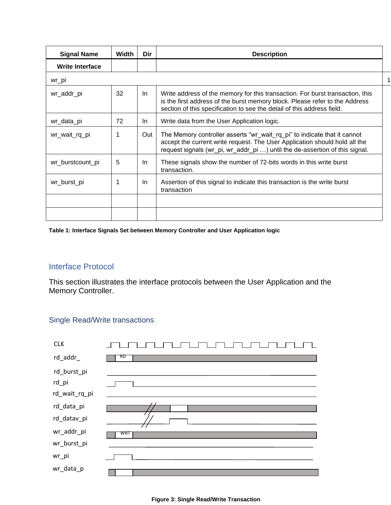| <b>Signal Name</b>     | Width | Dir | <b>Description</b>                                                                                                                                                                                                                     |   |
|------------------------|-------|-----|----------------------------------------------------------------------------------------------------------------------------------------------------------------------------------------------------------------------------------------|---|
| <b>Write Interface</b> |       |     |                                                                                                                                                                                                                                        |   |
| wr_pi                  |       |     |                                                                                                                                                                                                                                        | 1 |
| wr_addr_pi             | 32    | In. | Write address of the memory for this transaction. For burst transaction, this<br>is the first address of the burst memory block. Please refer to the Address<br>section of this specification to see the detail of this address field. |   |
| wr_data_pi             | 72    | In. | Write data from the User Application logic.                                                                                                                                                                                            |   |
| wr_wait_rq_pi          | 1     | Out | The Memory controller asserts "wr_wait_rq_pi" to indicate that it cannot<br>accept the current write request. The User Application should hold all the<br>request signals (wr_pi, wr_addr_pi ) until the de-assertion of this signal.  |   |
| wr_burstcount_pi       | 5     | In. | These signals show the number of 72-bits words in this write burst<br>transaction.                                                                                                                                                     |   |
| wr_burst_pi            | 1     | In. | Assertion of this signal to indicate this transaction is the write burst<br>transaction                                                                                                                                                |   |
|                        |       |     |                                                                                                                                                                                                                                        |   |
|                        |       |     |                                                                                                                                                                                                                                        |   |

**Table 1: Interface Signals Set between Memory Controller and User Application logic**

#### Interface Protocol

This section illustrates the interface protocols between the User Application and the Memory Controller.

#### Single Read/Write transactions

| <b>CLK</b>                               |     |
|------------------------------------------|-----|
| rd_addr_                                 | RD  |
| rd_burst_pi<br>$rd$ _pi<br>rd_wait_rq_pi |     |
| rd_data_pi                               |     |
| rd_datav_pi                              |     |
| wr_addr_pi                               | WRT |
| wr_burst_pi                              |     |
| wr_pi                                    |     |
| wr_data_p                                |     |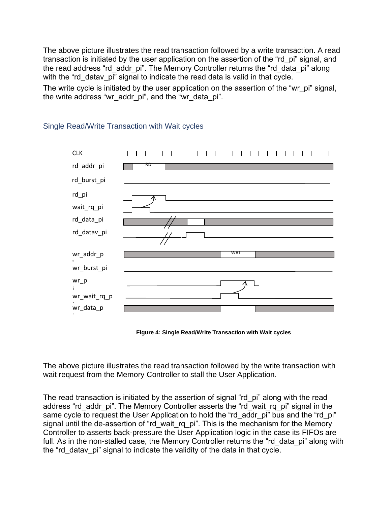The above picture illustrates the read transaction followed by a write transaction. A read transaction is initiated by the user application on the assertion of the "rd pi" signal, and the read address "rd addr pi". The Memory Controller returns the "rd data pi" along with the "rd datav pi" signal to indicate the read data is valid in that cycle.

The write cycle is initiated by the user application on the assertion of the "wr\_pi" signal, the write address "wr\_addr\_pi", and the "wr\_data\_pi".



#### Single Read/Write Transaction with Wait cycles

**Figure 4: Single Read/Write Transaction with Wait cycles**

The above picture illustrates the read transaction followed by the write transaction with wait request from the Memory Controller to stall the User Application.

The read transaction is initiated by the assertion of signal "rd\_pi" along with the read address "rd addr pi". The Memory Controller asserts the "rd wait rq pi" signal in the same cycle to request the User Application to hold the "rd addr pi" bus and the "rd pi" signal until the de-assertion of "rd\_wait\_rq\_pi". This is the mechanism for the Memory Controller to asserts back-pressure the User Application logic in the case its FIFOs are full. As in the non-stalled case, the Memory Controller returns the "rd data pi" along with the "rd datav pi" signal to indicate the validity of the data in that cycle.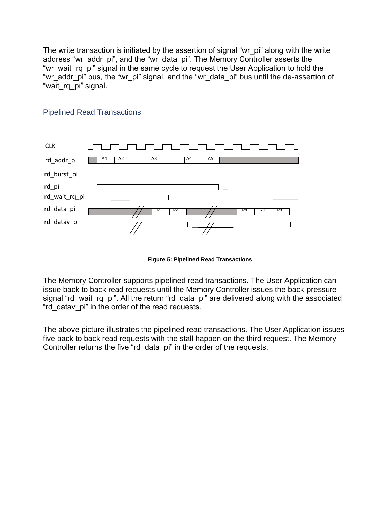The write transaction is initiated by the assertion of signal "wr\_pi" along with the write address "wr\_addr\_pi", and the "wr\_data\_pi". The Memory Controller asserts the "wr\_wait\_rq\_pi" signal in the same cycle to request the User Application to hold the "wr\_addr\_pi" bus, the "wr\_pi" signal, and the "wr\_data\_pi" bus until the de-assertion of "wait\_rq\_pi" signal.



#### Pipelined Read Transactions

**Figure 5: Pipelined Read Transactions**

The Memory Controller supports pipelined read transactions. The User Application can issue back to back read requests until the Memory Controller issues the back-pressure signal "rd wait rg pi". All the return "rd data pi" are delivered along with the associated "rd\_datav\_pi" in the order of the read requests.

The above picture illustrates the pipelined read transactions. The User Application issues five back to back read requests with the stall happen on the third request. The Memory Controller returns the five "rd data pi" in the order of the requests.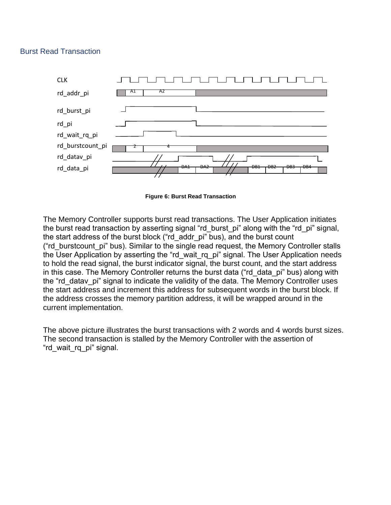#### Burst Read Transaction





The Memory Controller supports burst read transactions. The User Application initiates the burst read transaction by asserting signal "rd burst pi" along with the "rd pi" signal, the start address of the burst block ("rd\_addr\_pi" bus), and the burst count ("rd\_burstcount\_pi" bus). Similar to the single read request, the Memory Controller stalls the User Application by asserting the "rd wait rq pi" signal. The User Application needs to hold the read signal, the burst indicator signal, the burst count, and the start address in this case. The Memory Controller returns the burst data ("rd\_data\_pi" bus) along with the "rd datav pi" signal to indicate the validity of the data. The Memory Controller uses the start address and increment this address for subsequent words in the burst block. If the address crosses the memory partition address, it will be wrapped around in the current implementation.

The above picture illustrates the burst transactions with 2 words and 4 words burst sizes. The second transaction is stalled by the Memory Controller with the assertion of "rd\_wait\_rq\_pi" signal.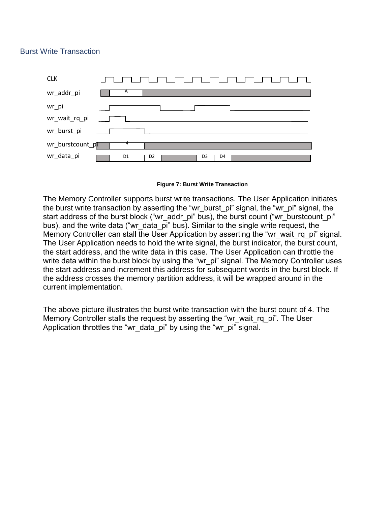#### Burst Write Transaction





The Memory Controller supports burst write transactions. The User Application initiates the burst write transaction by asserting the "wr\_burst\_pi" signal, the "wr\_pi" signal, the start address of the burst block ("wr\_addr\_pi" bus), the burst count ("wr\_burstcount\_pi" bus), and the write data ("wr\_data\_pi" bus). Similar to the single write request, the Memory Controller can stall the User Application by asserting the "wr\_wait\_rq\_pi" signal. The User Application needs to hold the write signal, the burst indicator, the burst count, the start address, and the write data in this case. The User Application can throttle the write data within the burst block by using the "wr\_pi" signal. The Memory Controller uses the start address and increment this address for subsequent words in the burst block. If the address crosses the memory partition address, it will be wrapped around in the current implementation.

The above picture illustrates the burst write transaction with the burst count of 4. The Memory Controller stalls the request by asserting the "wr\_wait\_rq\_pi". The User Application throttles the "wr\_data\_pi" by using the "wr\_pi" signal.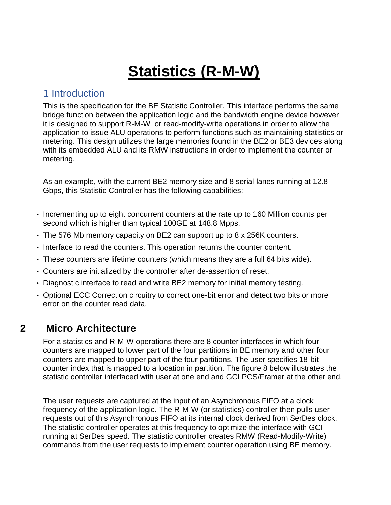# **Statistics (R-M-W)**

### 1 Introduction

This is the specification for the BE Statistic Controller. This interface performs the same bridge function between the application logic and the bandwidth engine device however it is designed to support R-M-W or read-modify-write operations in order to allow the application to issue ALU operations to perform functions such as maintaining statistics or metering. This design utilizes the large memories found in the BE2 or BE3 devices along with its embedded ALU and its RMW instructions in order to implement the counter or metering.

As an example, with the current BE2 memory size and 8 serial lanes running at 12.8 Gbps, this Statistic Controller has the following capabilities:

- Incrementing up to eight concurrent counters at the rate up to 160 Million counts per second which is higher than typical 100GE at 148.8 Mpps.
- The 576 Mb memory capacity on BE2 can support up to 8 x 256K counters.
- Interface to read the counters. This operation returns the counter content.
- These counters are lifetime counters (which means they are a full 64 bits wide).
- Counters are initialized by the controller after de-assertion of reset.
- Diagnostic interface to read and write BE2 memory for initial memory testing.
- Optional ECC Correction circuitry to correct one-bit error and detect two bits or more error on the counter read data.

## **2 Micro Architecture**

For a statistics and R-M-W operations there are 8 counter interfaces in which four counters are mapped to lower part of the four partitions in BE memory and other four counters are mapped to upper part of the four partitions. The user specifies 18-bit counter index that is mapped to a location in partition. The figure 8 below illustrates the statistic controller interfaced with user at one end and GCI PCS/Framer at the other end.

The user requests are captured at the input of an Asynchronous FIFO at a clock frequency of the application logic. The R-M-W (or statistics) controller then pulls user requests out of this Asynchronous FIFO at its internal clock derived from SerDes clock. The statistic controller operates at this frequency to optimize the interface with GCI running at SerDes speed. The statistic controller creates RMW (Read-Modify-Write) commands from the user requests to implement counter operation using BE memory.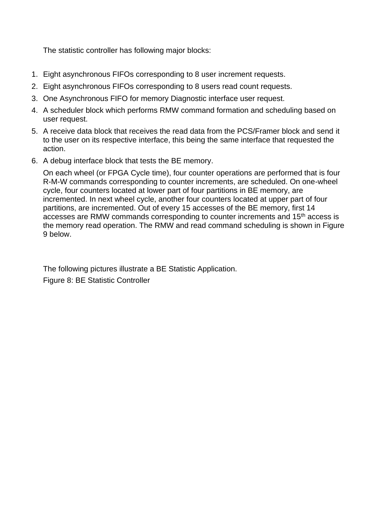The statistic controller has following major blocks:

- 1. Eight asynchronous FIFOs corresponding to 8 user increment requests.
- 2. Eight asynchronous FIFOs corresponding to 8 users read count requests.
- 3. One Asynchronous FIFO for memory Diagnostic interface user request.
- 4. A scheduler block which performs RMW command formation and scheduling based on user request.
- 5. A receive data block that receives the read data from the PCS/Framer block and send it to the user on its respective interface, this being the same interface that requested the action.
- 6. A debug interface block that tests the BE memory.

On each wheel (or FPGA Cycle time), four counter operations are performed that is four R-M-W commands corresponding to counter increments, are scheduled. On one-wheel cycle, four counters located at lower part of four partitions in BE memory, are incremented. In next wheel cycle, another four counters located at upper part of four partitions, are incremented. Out of every 15 accesses of the BE memory, first 14 accesses are RMW commands corresponding to counter increments and 15<sup>th</sup> access is the memory read operation. The RMW and read command scheduling is shown in Figure 9 below.

The following pictures illustrate a BE Statistic Application. Figure 8: BE Statistic Controller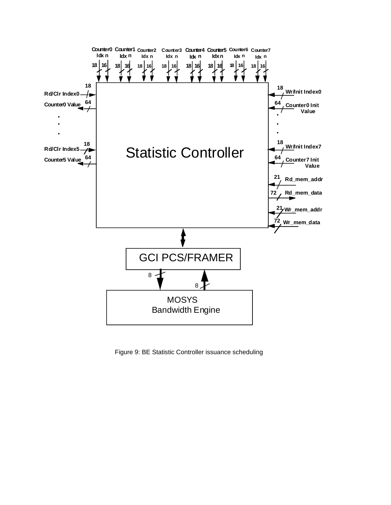

Figure 9: BE Statistic Controller issuance scheduling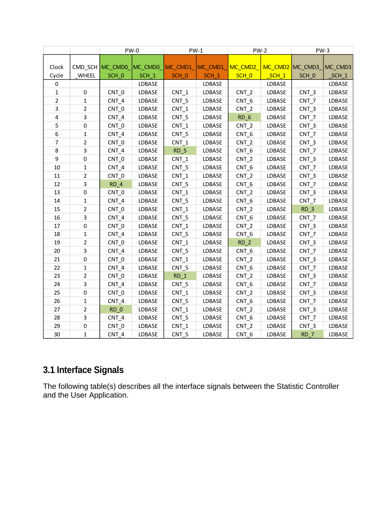|       |                | $PW-0$           |         | $PW-1$           |                  | $PW-2$           |         | $PW-3$           |         |
|-------|----------------|------------------|---------|------------------|------------------|------------------|---------|------------------|---------|
|       |                |                  |         |                  |                  |                  |         |                  |         |
| Clock |                | CMD SCH MC CMD0  | MC CMD0 | MC_CMD1_         | MC CMD1          | MC_CMD2          |         | MC CMD2 MC CMD3  | MC CMD3 |
| Cycle | WHEEL          | SCH_0            | $SCH_1$ | SCH <sub>0</sub> | SCH <sub>1</sub> | SCH_0            | $SCH_1$ | SCH_0            | $SCH_1$ |
| 0     |                |                  | LDBASE  |                  | LDBASE           |                  | LDBASE  |                  | LDBASE  |
| 1     | 0              | CNT_0            | LDBASE  | $CNT_1$          | LDBASE           | CNT <sub>2</sub> | LDBASE  | $CNT_3$          | LDBASE  |
| 2     | $\mathbf{1}$   | CNT 4            | LDBASE  | CNT <sub>5</sub> | LDBASE           | CNT <sub>6</sub> | LDBASE  | CNT <sub>7</sub> | LDBASE  |
| 3     | $\overline{2}$ | CNT 0            | LDBASE  | CNT <sub>1</sub> | LDBASE           | CNT <sub>2</sub> | LDBASE  | $CNT_3$          | LDBASE  |
| 4     | 3              | $CNT_4$          | LDBASE  | $CNT_5$          | LDBASE           | $RD_6$           | LDBASE  | $CNT_7$          | LDBASE  |
| 5     | 0              | CNT 0            | LDBASE  | CNT <sub>1</sub> | LDBASE           | $CNT_2$          | LDBASE  | CNT <sub>3</sub> | LDBASE  |
| 6     | $\mathbf{1}$   | $CNT_4$          | LDBASE  | $CNT_5$          | LDBASE           | CNT_6            | LDBASE  | $CNT_7$          | LDBASE  |
| 7     | $\overline{2}$ | CNT 0            | LDBASE  | $CNT_1$          | LDBASE           | $CNT_2$          | LDBASE  | $CNT_3$          | LDBASE  |
| 8     | 3              | CNT 4            | LDBASE  | RD <sub>5</sub>  | LDBASE           | CNT <sub>6</sub> | LDBASE  | CNT <sub>7</sub> | LDBASE  |
| 9     | 0              | CNT 0            | LDBASE  | $CNT_1$          | LDBASE           | CNT <sub>2</sub> | LDBASE  | $CNT_3$          | LDBASE  |
| 10    | 1              | CNT 4            | LDBASE  | $CNT_5$          | LDBASE           | CNT_6            | LDBASE  | $CNT_7$          | LDBASE  |
| 11    | $\overline{2}$ | CNT_0            | LDBASE  | $CNT_1$          | LDBASE           | $CNT_2$          | LDBASE  | $CNT_3$          | LDBASE  |
| 12    | 3              | RD <sub>4</sub>  | LDBASE  | $CNT_5$          | LDBASE           | CNT_6            | LDBASE  | $CNT_7$          | LDBASE  |
| 13    | 0              | CNT_0            | LDBASE  | $CNT_1$          | LDBASE           | $CNT_2$          | LDBASE  | $CNT_3$          | LDBASE  |
| 14    | $\mathbf 1$    | CNT 4            | LDBASE  | $CNT_5$          | LDBASE           | CNT_6            | LDBASE  | CNT <sub>7</sub> | LDBASE  |
| 15    | $\overline{2}$ | CNT <sub>0</sub> | LDBASE  | CNT <sub>1</sub> | LDBASE           | CNT <sub>2</sub> | LDBASE  | RD <sub>3</sub>  | LDBASE  |
| 16    | 3              | CNT <sub>4</sub> | LDBASE  | CNT <sub>5</sub> | LDBASE           | CNT_6            | LDBASE  | CNT <sub>7</sub> | LDBASE  |
| 17    | 0              | CNT 0            | LDBASE  | $CNT_1$          | LDBASE           | $CNT_2$          | LDBASE  | $CNT_3$          | LDBASE  |
| 18    | $\mathbf{1}$   | CNT 4            | LDBASE  | $CNT_5$          | LDBASE           | CNT_6            | LDBASE  | $CNT_7$          | LDBASE  |
| 19    | $\overline{2}$ | CNT_0            | LDBASE  | $CNT_1$          | LDBASE           | $RD_2$           | LDBASE  | $CNT_3$          | LDBASE  |
| 20    | 3              | $CNT_4$          | LDBASE  | $CNT_5$          | LDBASE           | CNT_6            | LDBASE  | $CNT_7$          | LDBASE  |
| 21    | 0              | CNT_0            | LDBASE  | $CNT_1$          | LDBASE           | $CNT_2$          | LDBASE  | $CNT_3$          | LDBASE  |
| 22    | 1              | $CNT_4$          | LDBASE  | CNT <sub>5</sub> | LDBASE           | CNT <sub>6</sub> | LDBASE  | CNT <sub>7</sub> | LDBASE  |
| 23    | $\overline{2}$ | CNT <sub>0</sub> | LDBASE  | RD <sub>1</sub>  | LDBASE           | CNT <sub>2</sub> | LDBASE  | $CNT_3$          | LDBASE  |
| 24    | 3              | CNT <sub>4</sub> | LDBASE  | CNT <sub>5</sub> | LDBASE           | CNT_6            | LDBASE  | $CNT_7$          | LDBASE  |
| 25    | 0              | CNT 0            | LDBASE  | $CNT_1$          | LDBASE           | $CNT_2$          | LDBASE  | $CNT_3$          | LDBASE  |
| 26    | 1              | $CNT_4$          | LDBASE  | $CNT_5$          | LDBASE           | CNT_6            | LDBASE  | $CNT_7$          | LDBASE  |
| 27    | $\overline{2}$ | $RD_0$           | LDBASE  | $CNT_1$          | LDBASE           | $CNT_2$          | LDBASE  | $CNT_3$          | LDBASE  |
| 28    | 3              | $CNT_4$          | LDBASE  | $CNT_5$          | LDBASE           | CNT_6            | LDBASE  | $CNT_7$          | LDBASE  |
| 29    | 0              | CNT <sub>0</sub> | LDBASE  | CNT <sub>1</sub> | LDBASE           | CNT <sub>2</sub> | LDBASE  | CNT <sub>3</sub> | LDBASE  |
| 30    | 1              | CNT <sub>4</sub> | LDBASE  | CNT <sub>5</sub> | LDBASE           | CNT <sub>6</sub> | LDBASE  | RD <sub>7</sub>  | LDBASE  |

# **3.1 Interface Signals**

The following table(s) describes all the interface signals between the Statistic Controller and the User Application.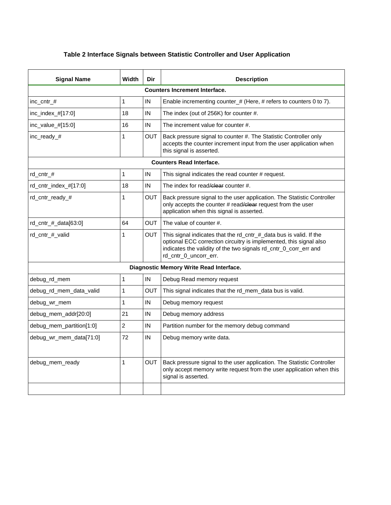#### **Table 2 Interface Signals between Statistic Controller and User Application**

| <b>Signal Name</b>                      | Width          | Dir        | <b>Description</b>                                                                                                                                                                                                                    |  |  |  |
|-----------------------------------------|----------------|------------|---------------------------------------------------------------------------------------------------------------------------------------------------------------------------------------------------------------------------------------|--|--|--|
| <b>Counters Increment Interface.</b>    |                |            |                                                                                                                                                                                                                                       |  |  |  |
| inc_cntr_#                              | 1              | IN         | Enable incrementing counter_ $#$ (Here, $#$ refers to counters 0 to 7).                                                                                                                                                               |  |  |  |
| inc_index_#[17:0]                       | 18             | IN         | The index (out of 256K) for counter #.                                                                                                                                                                                                |  |  |  |
| inc_value_#[15:0]                       | 16             | IN         | The increment value for counter #.                                                                                                                                                                                                    |  |  |  |
| inc_ready_#                             | 1              | <b>OUT</b> | Back pressure signal to counter #. The Statistic Controller only<br>accepts the counter increment input from the user application when<br>this signal is asserted.                                                                    |  |  |  |
| <b>Counters Read Interface.</b>         |                |            |                                                                                                                                                                                                                                       |  |  |  |
| rd cntr $#$                             | 1              | IN         | This signal indicates the read counter # request.                                                                                                                                                                                     |  |  |  |
| rd_cntr_index_#[17:0]                   | 18             | IN         | The index for read/clear counter #.                                                                                                                                                                                                   |  |  |  |
| rd_cntr_ready_#                         | 1              | OUT        | Back pressure signal to the user application. The Statistic Controller<br>only accepts the counter # read/clear request from the user<br>application when this signal is asserted.                                                    |  |  |  |
| rd cntr $#$ data[63:0]                  | 64             | OUT        | The value of counter #.                                                                                                                                                                                                               |  |  |  |
| rd cntr # valid                         | 1              | OUT.       | This signal indicates that the rd_cntr_#_data bus is valid. If the<br>optional ECC correction circuitry is implemented, this signal also<br>indicates the validity of the two signals rd_cntr_0_corr_err and<br>rd_cntr_0_uncorr_err. |  |  |  |
| Diagnostic Memory Write Read Interface. |                |            |                                                                                                                                                                                                                                       |  |  |  |
| debug rd mem                            | $\mathbf{1}$   | IN         | Debug Read memory request                                                                                                                                                                                                             |  |  |  |
| debug_rd_mem_data_valid                 | 1              | <b>OUT</b> | This signal indicates that the rd_mem_data bus is valid.                                                                                                                                                                              |  |  |  |
| debug_wr_mem                            | 1              | IN         | Debug memory request                                                                                                                                                                                                                  |  |  |  |
| debug_mem_addr[20:0]                    | 21             | IN         | Debug memory address                                                                                                                                                                                                                  |  |  |  |
| debug_mem_partition[1:0]                | $\overline{2}$ | IN         | Partition number for the memory debug command                                                                                                                                                                                         |  |  |  |
| debug_wr_mem_data[71:0]                 | 72             | IN         | Debug memory write data.                                                                                                                                                                                                              |  |  |  |
| debug_mem_ready                         | 1              | <b>OUT</b> | Back pressure signal to the user application. The Statistic Controller<br>only accept memory write request from the user application when this<br>signal is asserted.                                                                 |  |  |  |
|                                         |                |            |                                                                                                                                                                                                                                       |  |  |  |